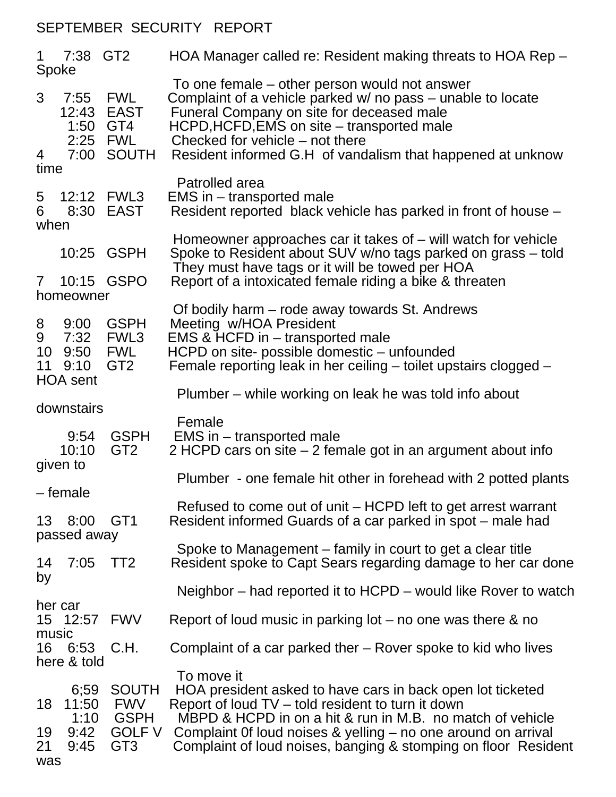## SEPTEMBER SECURITY REPORT

| $\mathbf 1$<br>Spoke                                                        | 7:38 GT2                              |                                                                               | HOA Manager called re: Resident making threats to HOA Rep -                                                                                                                                                                                                                                                                   |  |  |
|-----------------------------------------------------------------------------|---------------------------------------|-------------------------------------------------------------------------------|-------------------------------------------------------------------------------------------------------------------------------------------------------------------------------------------------------------------------------------------------------------------------------------------------------------------------------|--|--|
| 3<br>4                                                                      | 7:55<br>12:43<br>1:50 GT4<br>2:25 FWL | <b>FWL</b><br><b>EAST</b><br>7:00 SOUTH                                       | To one female – other person would not answer<br>Complaint of a vehicle parked w/ no pass – unable to locate<br>Funeral Company on site for deceased male<br>HCPD, HCFD, EMS on site - transported male<br>Checked for vehicle – not there<br>Resident informed G.H of vandalism that happened at unknow                      |  |  |
| time                                                                        |                                       |                                                                               | Patrolled area                                                                                                                                                                                                                                                                                                                |  |  |
| 5<br>6<br>when                                                              | 12:12<br>8:30                         | FWL3<br><b>EAST</b>                                                           | EMS in – transported male<br>Resident reported black vehicle has parked in front of house -                                                                                                                                                                                                                                   |  |  |
|                                                                             | 10:25 GSPH                            |                                                                               | Homeowner approaches car it takes of $-$ will watch for vehicle<br>Spoke to Resident about SUV w/no tags parked on grass - told<br>They must have tags or it will be towed per HOA                                                                                                                                            |  |  |
| $7\phantom{.0}$                                                             | GSPO<br>10:15<br>homeowner            |                                                                               | Report of a intoxicated female riding a bike & threaten                                                                                                                                                                                                                                                                       |  |  |
| 8<br>9<br>10<br>11                                                          | 9:00<br>7:32 FWL3<br>9:50<br>9:10     | <b>GSPH</b><br><b>FWL</b><br>GT <sub>2</sub>                                  | Of bodily harm – rode away towards St. Andrews<br>Meeting w/HOA President<br>EMS & HCFD in - transported male<br>HCPD on site- possible domestic - unfounded<br>Female reporting leak in her ceiling – toilet upstairs clogged –                                                                                              |  |  |
| <b>HOA</b> sent<br>downstairs                                               |                                       |                                                                               | Plumber – while working on leak he was told info about                                                                                                                                                                                                                                                                        |  |  |
|                                                                             | 9:54<br>10:10                         | <b>GSPH</b><br>GT <sub>2</sub>                                                | Female<br>EMS in – transported male<br>2 HCPD cars on site $-$ 2 female got in an argument about info                                                                                                                                                                                                                         |  |  |
| given to<br>Plumber - one female hit other in forehead with 2 potted plants |                                       |                                                                               |                                                                                                                                                                                                                                                                                                                               |  |  |
| 13                                                                          | – female<br>8:00 GT1<br>passed away   |                                                                               | Refused to come out of unit - HCPD left to get arrest warrant<br>Resident informed Guards of a car parked in spot – male had                                                                                                                                                                                                  |  |  |
| 14<br>by                                                                    | 7:05                                  | TT <sub>2</sub>                                                               | Spoke to Management – family in court to get a clear title<br>Resident spoke to Capt Sears regarding damage to her car done                                                                                                                                                                                                   |  |  |
|                                                                             |                                       |                                                                               | Neighbor – had reported it to HCPD – would like Rover to watch                                                                                                                                                                                                                                                                |  |  |
| her car                                                                     | 15 12:57                              | <b>FWV</b>                                                                    | Report of loud music in parking lot $-$ no one was there & no                                                                                                                                                                                                                                                                 |  |  |
| music<br>16                                                                 | 6:53<br>here & told                   | C.H.                                                                          | Complaint of a car parked ther – Rover spoke to kid who lives                                                                                                                                                                                                                                                                 |  |  |
| 18<br>19<br>21<br>was                                                       | 6;59<br>11:50<br>1:10<br>9:42<br>9:45 | <b>SOUTH</b><br><b>FWV</b><br><b>GSPH</b><br><b>GOLF V</b><br>GT <sub>3</sub> | To move it<br>HOA president asked to have cars in back open lot ticketed<br>Report of loud TV – told resident to turn it down<br>MBPD & HCPD in on a hit & run in M.B. no match of vehicle<br>Complaint Of loud noises & yelling – no one around on arrival<br>Complaint of loud noises, banging & stomping on floor Resident |  |  |